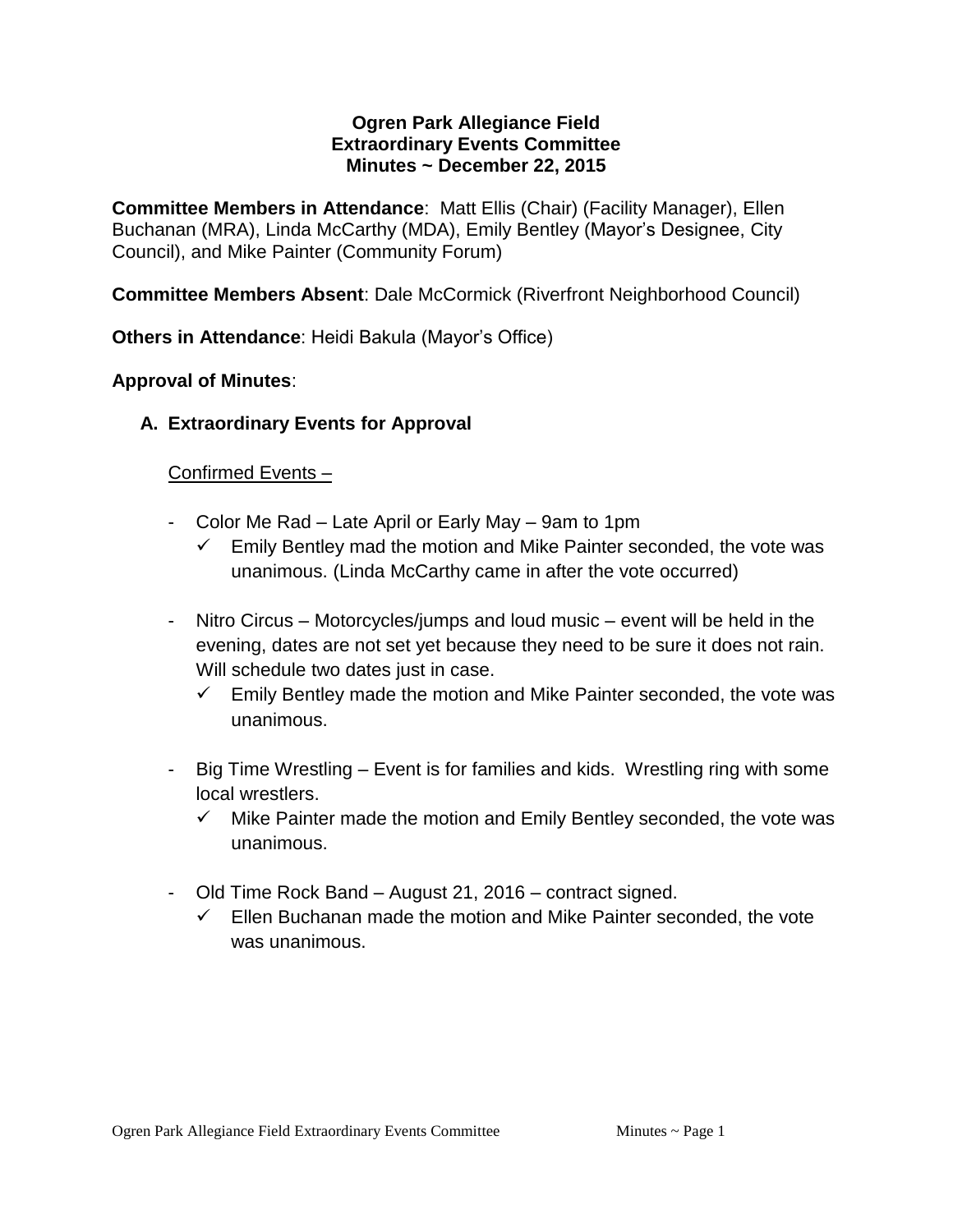#### **Ogren Park Allegiance Field Extraordinary Events Committee Minutes ~ December 22, 2015**

**Committee Members in Attendance**: Matt Ellis (Chair) (Facility Manager), Ellen Buchanan (MRA), Linda McCarthy (MDA), Emily Bentley (Mayor's Designee, City Council), and Mike Painter (Community Forum)

**Committee Members Absent**: Dale McCormick (Riverfront Neighborhood Council)

**Others in Attendance**: Heidi Bakula (Mayor's Office)

## **Approval of Minutes**:

**A. Extraordinary Events for Approval**

## Confirmed Events –

- Color Me Rad Late April or Early May 9am to 1pm
	- Emily Bentley mad the motion and Mike Painter seconded, the vote was unanimous. (Linda McCarthy came in after the vote occurred)
- Nitro Circus Motorcycles/jumps and loud music event will be held in the evening, dates are not set yet because they need to be sure it does not rain. Will schedule two dates just in case.
	- $\checkmark$  Emily Bentley made the motion and Mike Painter seconded, the vote was unanimous.
- Big Time Wrestling Event is for families and kids. Wrestling ring with some local wrestlers.
	- $\checkmark$  Mike Painter made the motion and Emily Bentley seconded, the vote was unanimous.
- Old Time Rock Band August 21, 2016 contract signed.
	- $\checkmark$  Ellen Buchanan made the motion and Mike Painter seconded, the vote was unanimous.